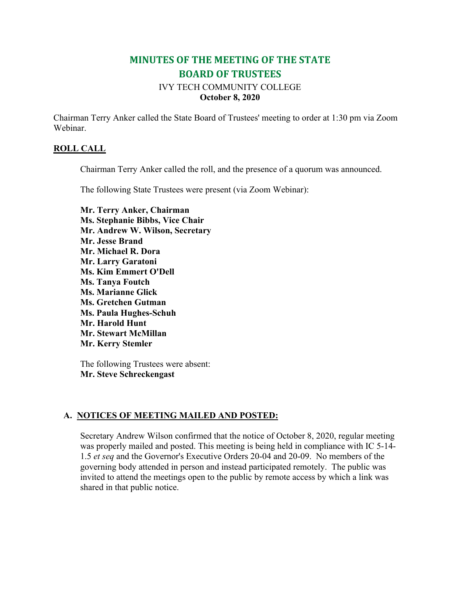# **MINUTES OF THE MEETING OF THE STATE BOARD OF TRUSTEES**

# IVY TECH COMMUNITY COLLEGE **October 8, 2020**

Chairman Terry Anker called the State Board of Trustees' meeting to order at 1:30 pm via Zoom Webinar.

### **ROLL CALL**

Chairman Terry Anker called the roll, and the presence of a quorum was announced.

The following State Trustees were present (via Zoom Webinar):

**Mr. Terry Anker, Chairman Ms. Stephanie Bibbs, Vice Chair Mr. Andrew W. Wilson, Secretary Mr. Jesse Brand Mr. Michael R. Dora Mr. Larry Garatoni Ms. Kim Emmert O'Dell Ms. Tanya Foutch Ms. Marianne Glick Ms. Gretchen Gutman Ms. Paula Hughes-Schuh Mr. Harold Hunt Mr. Stewart McMillan Mr. Kerry Stemler**

The following Trustees were absent: **Mr. Steve Schreckengast**

### **A. NOTICES OF MEETING MAILED AND POSTED:**

Secretary Andrew Wilson confirmed that the notice of October 8, 2020, regular meeting was properly mailed and posted. This meeting is being held in compliance with IC 5-14- 1.5 *et seq* and the Governor's Executive Orders 20-04 and 20-09. No members of the governing body attended in person and instead participated remotely. The public was invited to attend the meetings open to the public by remote access by which a link was shared in that public notice.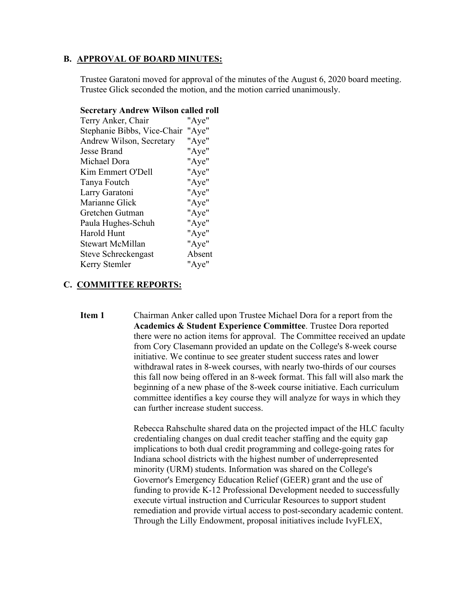### **B. APPROVAL OF BOARD MINUTES:**

Trustee Garatoni moved for approval of the minutes of the August 6, 2020 board meeting. Trustee Glick seconded the motion, and the motion carried unanimously.

| Terry Anker, Chair                | "Aye"  |
|-----------------------------------|--------|
| Stephanie Bibbs, Vice-Chair "Aye" |        |
| Andrew Wilson, Secretary          | "Aye"  |
| Jesse Brand                       | "Aye"  |
| Michael Dora                      | "Aye"  |
| Kim Emmert O'Dell                 | "Aye"  |
| Tanya Foutch                      | "Aye"  |
| Larry Garatoni                    | "Aye"  |
| Marianne Glick                    | "Aye"  |
| Gretchen Gutman                   | "Aye"  |
| Paula Hughes-Schuh                | "Aye"  |
| Harold Hunt                       | "Aye"  |
| Stewart McMillan                  | "Aye"  |
| Steve Schreckengast               | Absent |
| Kerry Stemler                     | "Aye"  |

# **Secretary Andrew Wilson called roll**

### **C. COMMITTEE REPORTS:**

**Item 1** Chairman Anker called upon Trustee Michael Dora for a report from the **Academics & Student Experience Committee**. Trustee Dora reported there were no action items for approval. The Committee received an update from Cory Clasemann provided an update on the College's 8-week course initiative. We continue to see greater student success rates and lower withdrawal rates in 8-week courses, with nearly two-thirds of our courses this fall now being offered in an 8-week format. This fall will also mark the beginning of a new phase of the 8-week course initiative. Each curriculum committee identifies a key course they will analyze for ways in which they can further increase student success.

> Rebecca Rahschulte shared data on the projected impact of the HLC faculty credentialing changes on dual credit teacher staffing and the equity gap implications to both dual credit programming and college-going rates for Indiana school districts with the highest number of underrepresented minority (URM) students. Information was shared on the College's Governor's Emergency Education Relief (GEER) grant and the use of funding to provide K-12 Professional Development needed to successfully execute virtual instruction and Curricular Resources to support student remediation and provide virtual access to post-secondary academic content. Through the Lilly Endowment, proposal initiatives include IvyFLEX,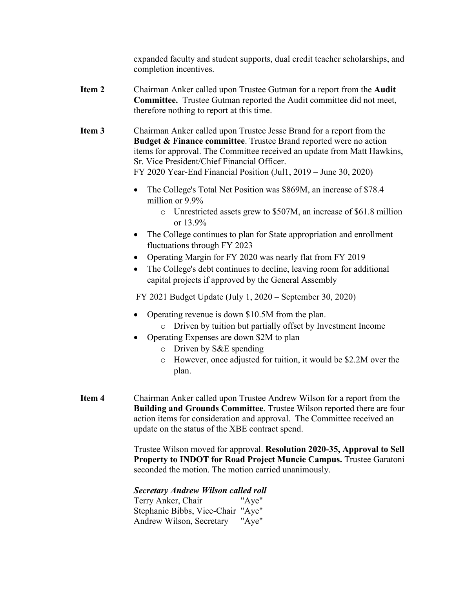expanded faculty and student supports, dual credit teacher scholarships, and completion incentives.

- **Item 2** Chairman Anker called upon Trustee Gutman for a report from the **Audit Committee.** Trustee Gutman reported the Audit committee did not meet, therefore nothing to report at this time.
- **Item 3** Chairman Anker called upon Trustee Jesse Brand for a report from the **Budget & Finance committee**. Trustee Brand reported were no action items for approval. The Committee received an update from Matt Hawkins, Sr. Vice President/Chief Financial Officer. FY 2020 Year-End Financial Position (Jul1, 2019 – June 30, 2020)
	- The College's Total Net Position was \$869M, an increase of \$78.4 million or 9.9%
		- o Unrestricted assets grew to \$507M, an increase of \$61.8 million or 13.9%
	- The College continues to plan for State appropriation and enrollment fluctuations through FY 2023
	- Operating Margin for FY 2020 was nearly flat from FY 2019
	- The College's debt continues to decline, leaving room for additional capital projects if approved by the General Assembly

FY 2021 Budget Update (July 1, 2020 – September 30, 2020)

- Operating revenue is down \$10.5M from the plan.
	- o Driven by tuition but partially offset by Investment Income
- Operating Expenses are down \$2M to plan
	- o Driven by S&E spending
	- o However, once adjusted for tuition, it would be \$2.2M over the plan.
- **Item 4** Chairman Anker called upon Trustee Andrew Wilson for a report from the **Building and Grounds Committee**. Trustee Wilson reported there are four action items for consideration and approval. The Committee received an update on the status of the XBE contract spend.

Trustee Wilson moved for approval. **Resolution 2020-35, Approval to Sell Property to INDOT for Road Project Muncie Campus.** Trustee Garatoni seconded the motion. The motion carried unanimously.

*Secretary Andrew Wilson called roll*

Terry Anker, Chair "Aye" Stephanie Bibbs, Vice-Chair "Aye" Andrew Wilson, Secretary "Aye"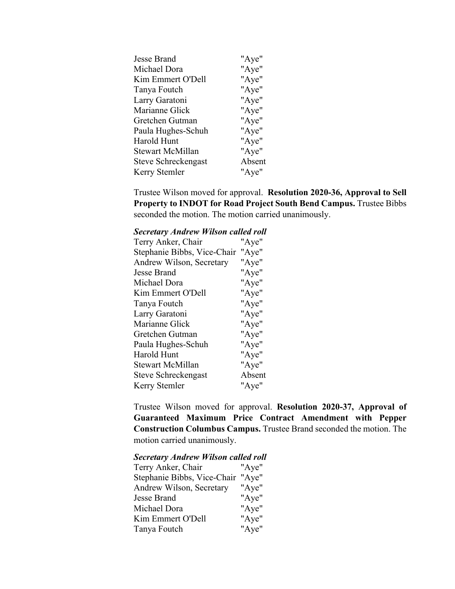| "Aye"  |
|--------|
|        |
| "Aye"  |
| "Aye"  |
| "Aye"  |
| "Aye"  |
| "Aye"  |
| "Aye"  |
| "Aye"  |
| "Aye"  |
| "Aye"  |
| Absent |
| "Aye"  |
|        |

Trustee Wilson moved for approval. **Resolution 2020-36, Approval to Sell Property to INDOT for Road Project South Bend Campus.** Trustee Bibbs seconded the motion. The motion carried unanimously.

#### *Secretary Andrew Wilson called roll*

| Terry Anker, Chair          | "Aye"  |
|-----------------------------|--------|
| Stephanie Bibbs, Vice-Chair | "Aye"  |
| Andrew Wilson, Secretary    | "Aye"  |
| Jesse Brand                 | "Aye"  |
| Michael Dora                | "Aye"  |
| Kim Emmert O'Dell           | "Aye"  |
| Tanya Foutch                | "Aye"  |
| Larry Garatoni              | "Aye"  |
| Marianne Glick              | "Aye"  |
| Gretchen Gutman             | "Aye"  |
| Paula Hughes-Schuh          | "Aye"  |
| Harold Hunt                 | "Aye"  |
| <b>Stewart McMillan</b>     | "Aye"  |
| Steve Schreckengast         | Absent |
| Kerry Stemler               | "Aye"  |
|                             |        |

Trustee Wilson moved for approval. **Resolution 2020-37, Approval of Guaranteed Maximum Price Contract Amendment with Pepper Construction Columbus Campus.** Trustee Brand seconded the motion. The motion carried unanimously.

#### *Secretary Andrew Wilson called roll*

| Terry Anker, Chair          | "Aye" |
|-----------------------------|-------|
| Stephanie Bibbs, Vice-Chair | "Aye" |
| Andrew Wilson, Secretary    | "Aye" |
| Jesse Brand                 | "Aye" |
| Michael Dora                | "Aye" |
| Kim Emmert O'Dell           | "Aye" |
| Tanya Foutch                | "Aye" |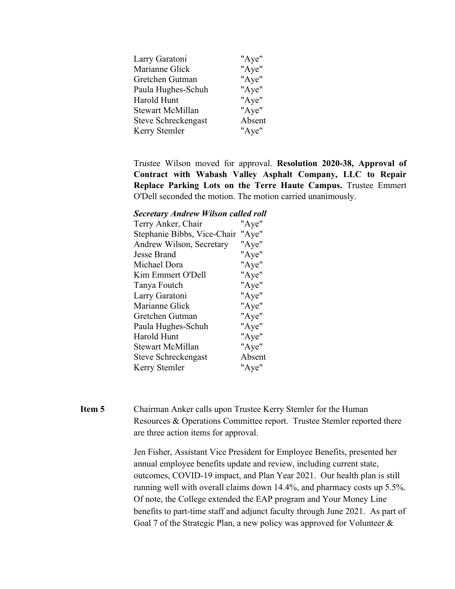| Larry Garatoni      | "Aye"  |
|---------------------|--------|
| Marianne Glick      | "Aye"  |
| Gretchen Gutman     | "Aye"  |
| Paula Hughes-Schuh  | "Aye"  |
| Harold Hunt         | "Aye"  |
| Stewart McMillan    | "Aye"  |
| Steve Schreckengast | Absent |
| Kerry Stemler       | "Aye"  |
|                     |        |

Trustee Wilson moved for approval. **Resolution 2020-38, Approval of Contract with Wabash Valley Asphalt Company, LLC to Repair Replace Parking Lots on the Terre Haute Campus.** Trustee Emmert O'Dell seconded the motion. The motion carried unanimously.

*Secretary Andrew Wilson called roll*

| Terry Anker, Chair          | "Aye"  |
|-----------------------------|--------|
| Stephanie Bibbs, Vice-Chair | "Aye"  |
| Andrew Wilson, Secretary    | "Aye"  |
| Jesse Brand                 | "Aye"  |
| Michael Dora                | "Aye"  |
| Kim Emmert O'Dell           | "Aye"  |
| Tanya Foutch                | "Aye"  |
| Larry Garatoni              | "Aye"  |
| Marianne Glick              | "Aye"  |
| Gretchen Gutman             | "Aye"  |
| Paula Hughes-Schuh          | "Aye"  |
| Harold Hunt                 | "Aye"  |
| <b>Stewart McMillan</b>     | "Aye"  |
| Steve Schreckengast         | Absent |
| Kerry Stemler               | "Aye"  |
|                             |        |

**Item 5** Chairman Anker calls upon Trustee Kerry Stemler for the Human Resources & Operations Committee report. Trustee Stemler reported there are three action items for approval.

> Jen Fisher, Assistant Vice President for Employee Benefits, presented her annual employee benefits update and review, including current state, outcomes, COVID-19 impact, and Plan Year 2021. Our health plan is still running well with overall claims down 14.4%, and pharmacy costs up 5.5%. Of note, the College extended the EAP program and Your Money Line benefits to part-time staff and adjunct faculty through June 2021. As part of Goal 7 of the Strategic Plan, a new policy was approved for Volunteer &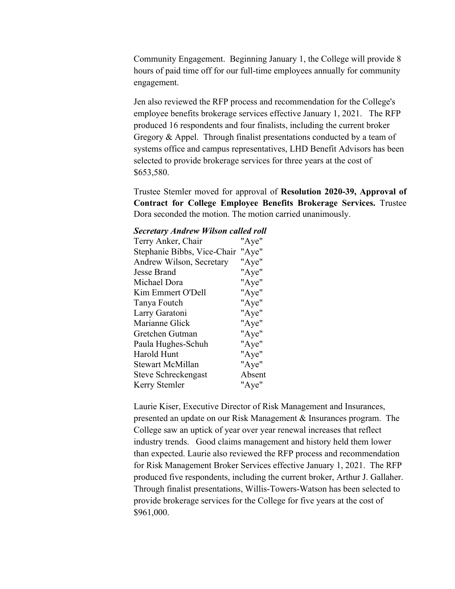Community Engagement. Beginning January 1, the College will provide 8 hours of paid time off for our full-time employees annually for community engagement.

Jen also reviewed the RFP process and recommendation for the College's employee benefits brokerage services effective January 1, 2021. The RFP produced 16 respondents and four finalists, including the current broker Gregory & Appel. Through finalist presentations conducted by a team of systems office and campus representatives, LHD Benefit Advisors has been selected to provide brokerage services for three years at the cost of \$653,580.

Trustee Stemler moved for approval of **Resolution 2020-39, Approval of Contract for College Employee Benefits Brokerage Services.** Trustee Dora seconded the motion. The motion carried unanimously.

#### *Secretary Andrew Wilson called roll*

| Terry Anker, Chair          | "Aye"  |
|-----------------------------|--------|
| Stephanie Bibbs, Vice-Chair | "Aye"  |
| Andrew Wilson, Secretary    | "Aye"  |
| Jesse Brand                 | "Aye"  |
| Michael Dora                | "Aye"  |
| Kim Emmert O'Dell           | "Aye"  |
| Tanya Foutch                | "Aye"  |
| Larry Garatoni              | "Aye"  |
| Marianne Glick              | "Aye"  |
| Gretchen Gutman             | "Aye"  |
| Paula Hughes-Schuh          | "Aye"  |
| Harold Hunt                 | "Aye"  |
| Stewart McMillan            | "Aye"  |
| Steve Schreckengast         | Absent |
| Kerry Stemler               | "Aye"  |
|                             |        |

Laurie Kiser, Executive Director of Risk Management and Insurances, presented an update on our Risk Management & Insurances program. The College saw an uptick of year over year renewal increases that reflect industry trends. Good claims management and history held them lower than expected. Laurie also reviewed the RFP process and recommendation for Risk Management Broker Services effective January 1, 2021. The RFP produced five respondents, including the current broker, Arthur J. Gallaher. Through finalist presentations, Willis-Towers-Watson has been selected to provide brokerage services for the College for five years at the cost of \$961,000.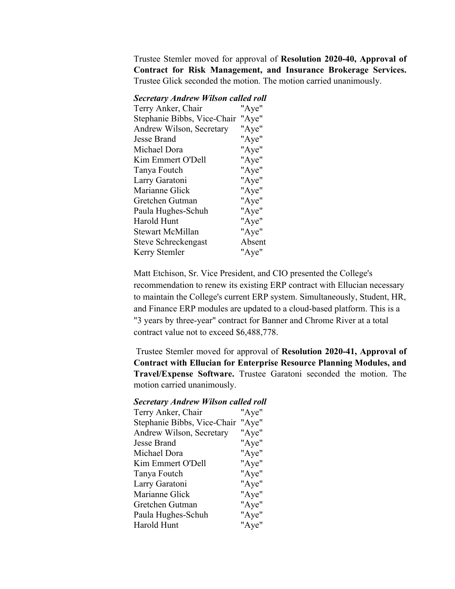Trustee Stemler moved for approval of **Resolution 2020-40, Approval of Contract for Risk Management, and Insurance Brokerage Services.** Trustee Glick seconded the motion. The motion carried unanimously.

### *Secretary Andrew Wilson called roll*

| Terry Anker, Chair                | "Aye"  |
|-----------------------------------|--------|
| Stephanie Bibbs, Vice-Chair "Aye" |        |
| Andrew Wilson, Secretary          | "Aye"  |
| Jesse Brand                       | "Aye"  |
| Michael Dora                      | "Aye"  |
| Kim Emmert O'Dell                 | "Aye"  |
| Tanya Foutch                      | "Aye"  |
| Larry Garatoni                    | "Aye"  |
| Marianne Glick                    | "Aye"  |
| Gretchen Gutman                   | "Aye"  |
| Paula Hughes-Schuh                | "Aye"  |
| Harold Hunt                       | "Aye"  |
| Stewart McMillan                  | "Aye"  |
| Steve Schreckengast               | Absent |
| Kerry Stemler                     | "Aye"  |
|                                   |        |

Matt Etchison, Sr. Vice President, and CIO presented the College's recommendation to renew its existing ERP contract with Ellucian necessary to maintain the College's current ERP system. Simultaneously, Student, HR, and Finance ERP modules are updated to a cloud-based platform. This is a "3 years by three-year" contract for Banner and Chrome River at a total contract value not to exceed \$6,488,778.

Trustee Stemler moved for approval of **Resolution 2020-41, Approval of Contract with Ellucian for Enterprise Resource Planning Modules, and Travel/Expense Software.** Trustee Garatoni seconded the motion. The motion carried unanimously.

### *Secretary Andrew Wilson called roll*

| Terry Anker, Chair          | "Aye" |
|-----------------------------|-------|
| Stephanie Bibbs, Vice-Chair | "Aye" |
| Andrew Wilson, Secretary    | "Aye" |
| Jesse Brand                 | "Aye" |
| Michael Dora                | "Aye" |
| Kim Emmert O'Dell           | "Aye" |
| Tanya Foutch                | "Aye" |
| Larry Garatoni              | "Aye" |
| Marianne Glick              | "Aye" |
| Gretchen Gutman             | "Aye" |
| Paula Hughes-Schuh          | "Aye" |
| Harold Hunt                 | "Aye" |
|                             |       |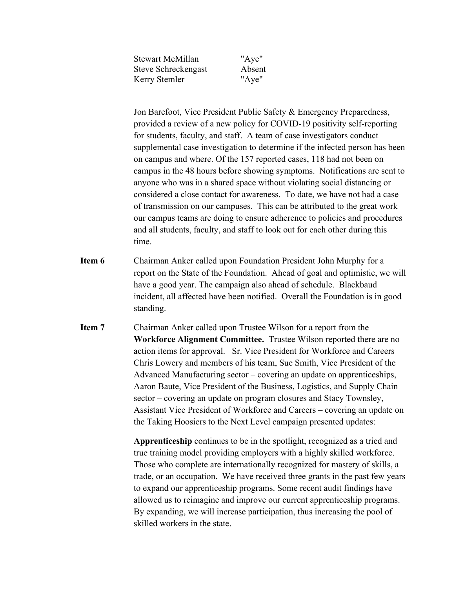| <b>Stewart McMillan</b> | "Aye"  |
|-------------------------|--------|
| Steve Schreckengast     | Absent |
| Kerry Stemler           | "Aye"  |

Jon Barefoot, Vice President Public Safety & Emergency Preparedness, provided a review of a new policy for COVID-19 positivity self-reporting for students, faculty, and staff. A team of case investigators conduct supplemental case investigation to determine if the infected person has been on campus and where. Of the 157 reported cases, 118 had not been on campus in the 48 hours before showing symptoms. Notifications are sent to anyone who was in a shared space without violating social distancing or considered a close contact for awareness. To date, we have not had a case of transmission on our campuses. This can be attributed to the great work our campus teams are doing to ensure adherence to policies and procedures and all students, faculty, and staff to look out for each other during this time.

- **Item 6** Chairman Anker called upon Foundation President John Murphy for a report on the State of the Foundation. Ahead of goal and optimistic, we will have a good year. The campaign also ahead of schedule. Blackbaud incident, all affected have been notified. Overall the Foundation is in good standing.
- **Item 7** Chairman Anker called upon Trustee Wilson for a report from the **Workforce Alignment Committee.** Trustee Wilson reported there are no action items for approval. Sr. Vice President for Workforce and Careers Chris Lowery and members of his team, Sue Smith, Vice President of the Advanced Manufacturing sector – covering an update on apprenticeships, Aaron Baute, Vice President of the Business, Logistics, and Supply Chain sector – covering an update on program closures and Stacy Townsley, Assistant Vice President of Workforce and Careers – covering an update on the Taking Hoosiers to the Next Level campaign presented updates:

**Apprenticeship** continues to be in the spotlight, recognized as a tried and true training model providing employers with a highly skilled workforce. Those who complete are internationally recognized for mastery of skills, a trade, or an occupation. We have received three grants in the past few years to expand our apprenticeship programs. Some recent audit findings have allowed us to reimagine and improve our current apprenticeship programs. By expanding, we will increase participation, thus increasing the pool of skilled workers in the state.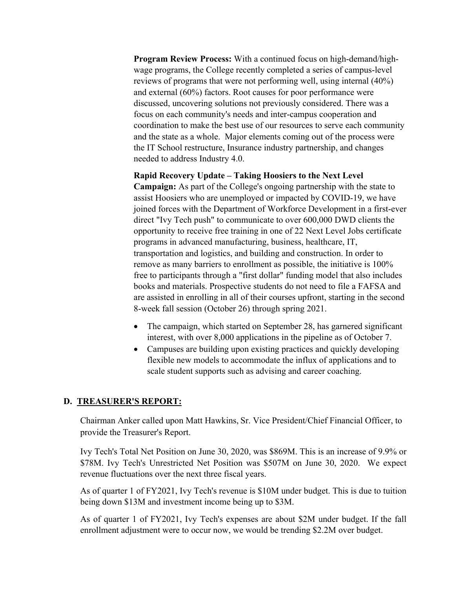**Program Review Process:** With a continued focus on high-demand/highwage programs, the College recently completed a series of campus-level reviews of programs that were not performing well, using internal (40%) and external (60%) factors. Root causes for poor performance were discussed, uncovering solutions not previously considered. There was a focus on each community's needs and inter-campus cooperation and coordination to make the best use of our resources to serve each community and the state as a whole. Major elements coming out of the process were the IT School restructure, Insurance industry partnership, and changes needed to address Industry 4.0.

### **Rapid Recovery Update – Taking Hoosiers to the Next Level**

**Campaign:** As part of the College's ongoing partnership with the state to assist Hoosiers who are unemployed or impacted by COVID-19, we have joined forces with the Department of Workforce Development in a first-ever direct "Ivy Tech push" to communicate to over 600,000 DWD clients the opportunity to receive free training in one of 22 Next Level Jobs certificate programs in advanced manufacturing, business, healthcare, IT, transportation and logistics, and building and construction. In order to remove as many barriers to enrollment as possible, the initiative is 100% free to participants through a "first dollar" funding model that also includes books and materials. Prospective students do not need to file a FAFSA and are assisted in enrolling in all of their courses upfront, starting in the second 8-week fall session (October 26) through spring 2021.

- The campaign, which started on September 28, has garnered significant interest, with over 8,000 applications in the pipeline as of October 7.
- Campuses are building upon existing practices and quickly developing flexible new models to accommodate the influx of applications and to scale student supports such as advising and career coaching.

### **D. TREASURER'S REPORT:**

Chairman Anker called upon Matt Hawkins, Sr. Vice President/Chief Financial Officer, to provide the Treasurer's Report.

Ivy Tech's Total Net Position on June 30, 2020, was \$869M. This is an increase of 9.9% or \$78M. Ivy Tech's Unrestricted Net Position was \$507M on June 30, 2020. We expect revenue fluctuations over the next three fiscal years.

As of quarter 1 of FY2021, Ivy Tech's revenue is \$10M under budget. This is due to tuition being down \$13M and investment income being up to \$3M.

As of quarter 1 of FY2021, Ivy Tech's expenses are about \$2M under budget. If the fall enrollment adjustment were to occur now, we would be trending \$2.2M over budget.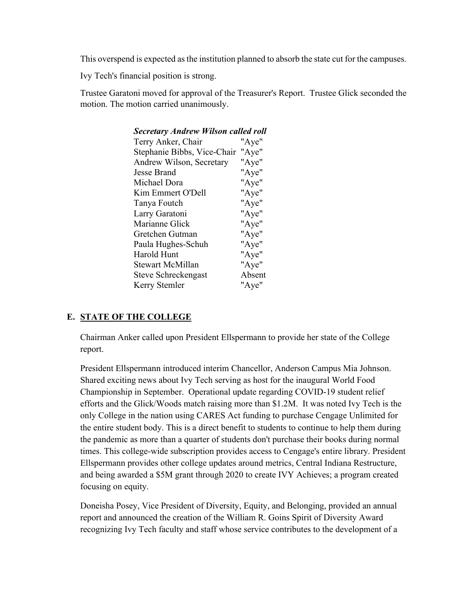This overspend is expected as the institution planned to absorb the state cut for the campuses.

Ivy Tech's financial position is strong.

Trustee Garatoni moved for approval of the Treasurer's Report. Trustee Glick seconded the motion. The motion carried unanimously.

| <b>Secretary Andrew Wilson called roll</b> |        |
|--------------------------------------------|--------|
| Terry Anker, Chair                         | "Aye"  |
| Stephanie Bibbs, Vice-Chair                | "Aye"  |
| Andrew Wilson, Secretary                   | "Aye"  |
| <b>Jesse Brand</b>                         | "Aye"  |
| Michael Dora                               | "Aye"  |
| Kim Emmert O'Dell                          | "Aye"  |
| Tanya Foutch                               | "Aye"  |
| Larry Garatoni                             | "Aye"  |
| Marianne Glick                             | "Aye"  |
| Gretchen Gutman                            | "Aye"  |
| Paula Hughes-Schuh                         | "Aye"  |
| <b>Harold Hunt</b>                         | "Aye"  |
| Stewart McMillan                           | "Aye"  |
| Steve Schreckengast                        | Absent |
| Kerry Stemler                              | "Aye"  |
|                                            |        |

# **E. STATE OF THE COLLEGE**

Chairman Anker called upon President Ellspermann to provide her state of the College report.

President Ellspermann introduced interim Chancellor, Anderson Campus Mia Johnson. Shared exciting news about Ivy Tech serving as host for the inaugural World Food Championship in September. Operational update regarding COVID-19 student relief efforts and the Glick/Woods match raising more than \$1.2M. It was noted Ivy Tech is the only College in the nation using CARES Act funding to purchase Cengage Unlimited for the entire student body. This is a direct benefit to students to continue to help them during the pandemic as more than a quarter of students don't purchase their books during normal times. This college-wide subscription provides access to Cengage's entire library. President Ellspermann provides other college updates around metrics, Central Indiana Restructure, and being awarded a \$5M grant through 2020 to create IVY Achieves; a program created focusing on equity.

Doneisha Posey, Vice President of Diversity, Equity, and Belonging, provided an annual report and announced the creation of the William R. Goins Spirit of Diversity Award recognizing Ivy Tech faculty and staff whose service contributes to the development of a